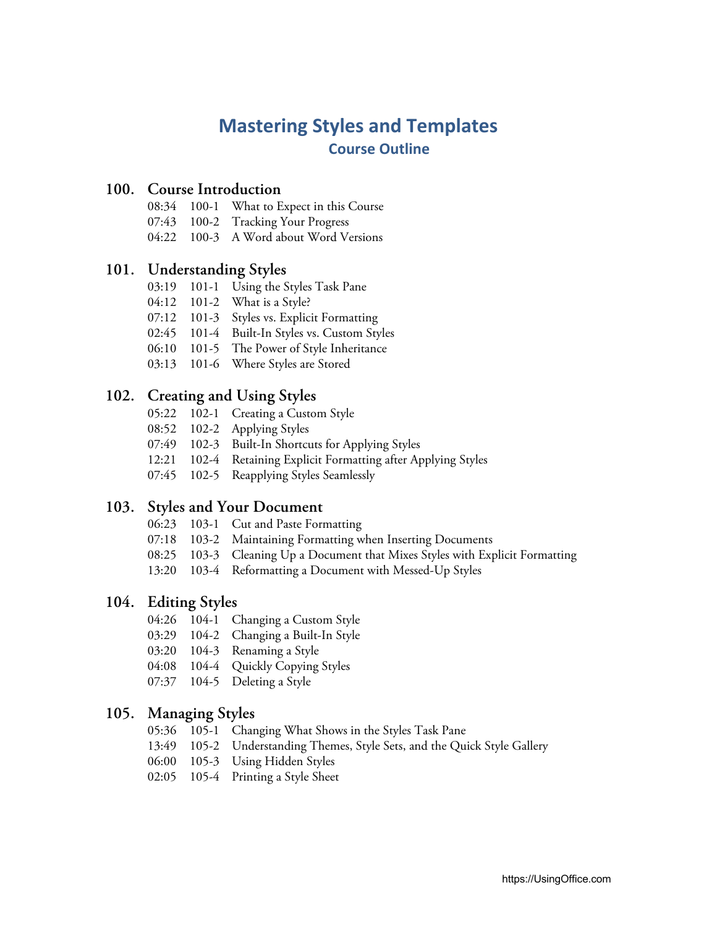# **Mastering Styles and Templates Course Outline**

## **100. Course Introduction**

- 08:34 100-1 What to Expect in this Course
- 07:43 100-2 Tracking Your Progress
- 04:22 100-3 A Word about Word Versions

# **101. Understanding Styles**

- 03:19 101-1 Using the Styles Task Pane
- 04:12 101-2 What is a Style?
- 07:12 101-3 Styles vs. Explicit Formatting
- 02:45 101-4 Built-In Styles vs. Custom Styles
- 06:10 101-5 The Power of Style Inheritance
- 03:13 101-6 Where Styles are Stored

# **102. Creating and Using Styles**

- 05:22 102-1 Creating a Custom Style
- 08:52 102-2 Applying Styles
- 07:49 102-3 Built-In Shortcuts for Applying Styles
- 12:21 102-4 Retaining Explicit Formatting after Applying Styles
- 07:45 102-5 Reapplying Styles Seamlessly

## **103. Styles and Your Document**

- 06:23 103-1 Cut and Paste Formatting
- 07:18 103-2 Maintaining Formatting when Inserting Documents
- 08:25 103-3 Cleaning Up a Document that Mixes Styles with Explicit Formatting
- 13:20 103-4 Reformatting a Document with Messed-Up Styles

# **104. Editing Styles**

- 04:26 104-1 Changing a Custom Style
- 03:29 104-2 Changing a Built-In Style
- 03:20 104-3 Renaming a Style
- 04:08 104-4 Quickly Copying Styles
- 07:37 104-5 Deleting a Style

## **105. Managing Styles**

- 05:36 105-1 Changing What Shows in the Styles Task Pane
- 13:49 105-2 Understanding Themes, Style Sets, and the Quick Style Gallery
- 06:00 105-3 Using Hidden Styles
- 02:05 105-4 Printing a Style Sheet